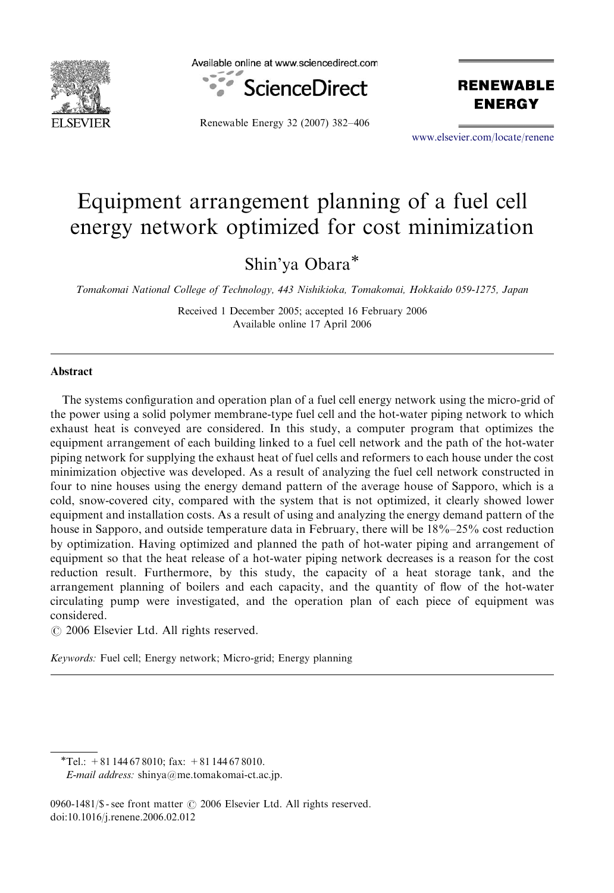

Available online at www.sciencedirect.com



Renewable Energy 32 (2007) 382–406

**RENEWABLE ENERGY** 

<www.elsevier.com/locate/renene>

## Equipment arrangement planning of a fuel cell energy network optimized for cost minimization

Shin'ya Obara

Tomakomai National College of Technology, 443 Nishikioka, Tomakomai, Hokkaido 059-1275, Japan

Received 1 December 2005; accepted 16 February 2006 Available online 17 April 2006

## Abstract

The systems configuration and operation plan of a fuel cell energy network using the micro-grid of the power using a solid polymer membrane-type fuel cell and the hot-water piping network to which exhaust heat is conveyed are considered. In this study, a computer program that optimizes the equipment arrangement of each building linked to a fuel cell network and the path of the hot-water piping network for supplying the exhaust heat of fuel cells and reformers to each house under the cost minimization objective was developed. As a result of analyzing the fuel cell network constructed in four to nine houses using the energy demand pattern of the average house of Sapporo, which is a cold, snow-covered city, compared with the system that is not optimized, it clearly showed lower equipment and installation costs. As a result of using and analyzing the energy demand pattern of the house in Sapporo, and outside temperature data in February, there will be 18%–25% cost reduction by optimization. Having optimized and planned the path of hot-water piping and arrangement of equipment so that the heat release of a hot-water piping network decreases is a reason for the cost reduction result. Furthermore, by this study, the capacity of a heat storage tank, and the arrangement planning of boilers and each capacity, and the quantity of flow of the hot-water circulating pump were investigated, and the operation plan of each piece of equipment was considered.

 $\odot$  2006 Elsevier Ltd. All rights reserved.

Keywords: Fuel cell; Energy network; Micro-grid; Energy planning

0960-1481/\$ - see front matter  $\odot$  2006 Elsevier Ltd. All rights reserved. doi:10.1016/j.renene.2006.02.012

 $T$ el.: +81 144 67 8010; fax: +81 144 67 8010.

E-mail address: shinya@me.tomakomai-ct.ac.jp.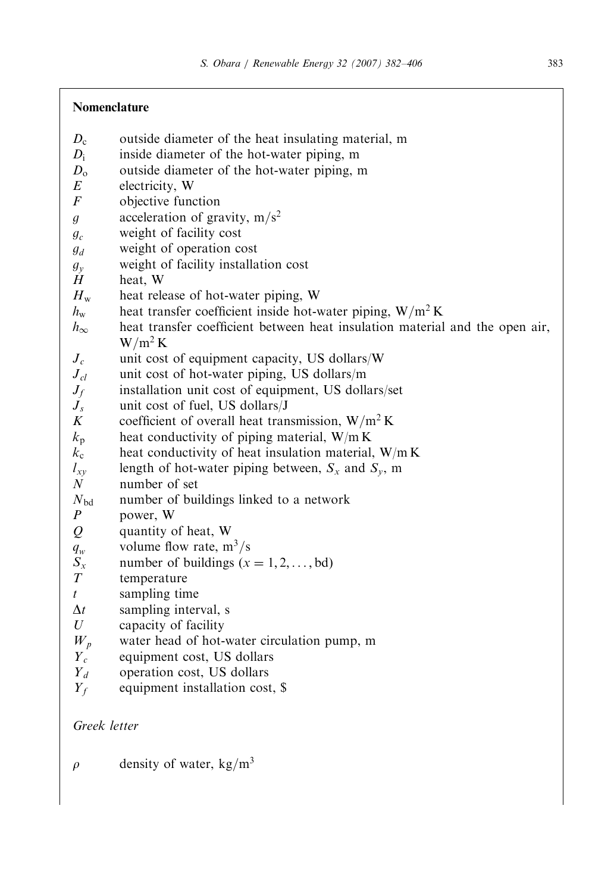## Nomenclature

- $D<sub>c</sub>$  outside diameter of the heat insulating material, m
- $D_i$  inside diameter of the hot-water piping, m<br> $D_0$  outside diameter of the hot-water piping, m
- $D_0$  outside diameter of the hot-water piping, m<br>  $E$  electricity W
- electricity, W
- F objective function
- g acceleration of gravity,  $m/s^2$
- $g_c$  weight of facility cost
- $g_d$  weight of operation cost
- $g_y$  weight of facility installation cost<br>  $H$  heat. W
- heat. W
- $H<sub>w</sub>$  heat release of hot-water piping, W
- $h_w$  heat transfer coefficient inside hot-water piping, W/m<sup>2</sup> K
- $h_{\infty}$  heat transfer coefficient between heat insulation material and the open air,  $W/m^2 K$
- $J_c$  unit cost of equipment capacity, US dollars/W
- $J_{cl}$  unit cost of hot-water piping, US dollars/m
- $J_f$  installation unit cost of equipment, US dollars/set
- $J_s$  unit cost of fuel, US dollars/J<br>K coefficient of overall heat tran
- coefficient of overall heat transmission,  $W/m^2 K$
- $k_p$  heat conductivity of piping material, W/m K
- $k_c$  heat conductivity of heat insulation material, W/m K
- $l_{xy}$  length of hot-water piping between,  $S_x$  and  $S_y$ , m
- N number of set
- $N_{\rm bd}$  number of buildings linked to a network
- P power, W
- Q quantity of heat, W
- $q_w$  volume flow rate, m<sup>3</sup>/s
- $S_x$  number of buildings  $(x = 1, 2, \dots, bd)$
- T temperature
- $t$  sampling time
- $\Delta t$  sampling interval, s
- $U$  capacity of facility
- $W_p$  water head of hot-water circulation pump, m
- $Y_c$  equipment cost, US dollars<br> $Y_d$  operation cost, US dollars
- operation cost, US dollars
- $Y_f$  equipment installation cost, \$

Greek letter

 $\rho$  density of water, kg/m<sup>3</sup>